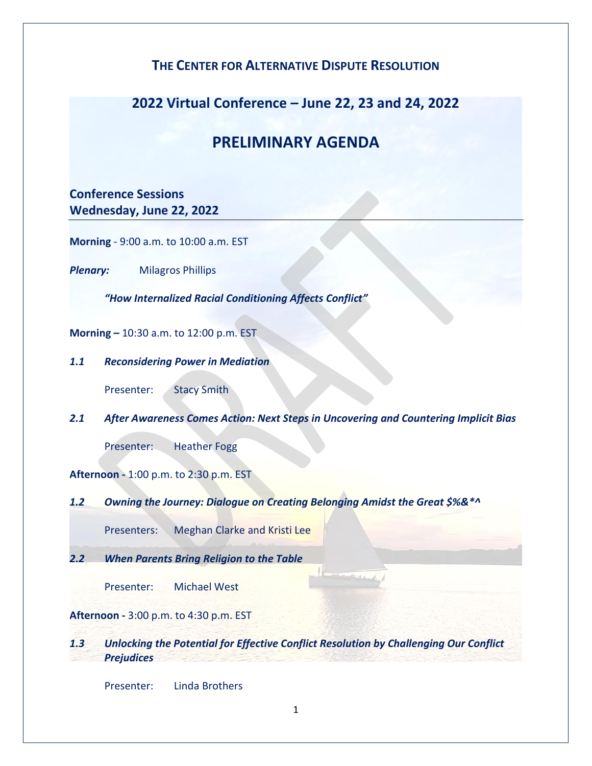### **THE CENTER FOR ALTERNATIVE DISPUTE RESOLUTION**

## **2022 Virtual Conference – June 22, 23 and 24, 2022**

# **PRELIMINARY AGENDA**

### **Conference Sessions Wednesday, June 22, 2022**

**Morning** - 9:00 a.m. to 10:00 a.m. EST

*Plenary:* Milagros Phillips

*"How Internalized Racial Conditioning Affects Conflict"*

**Morning –** 10:30 a.m. to 12:00 p.m. EST

*1.1 Reconsidering Power in Mediation*

Presenter: Stacy Smith

*2.1 After Awareness Comes Action: Next Steps in Uncovering and Countering Implicit Bias*

Presenter: Heather Fogg

**Afternoon -** 1:00 p.m. to 2:30 p.m. EST

*1.2 Owning the Journey: Dialogue on Creating Belonging Amidst the Great \$%&\*^*

Presenters: Meghan Clarke and Kristi Lee

*2.2 When Parents Bring Religion to the Table*

Presenter: Michael West

**Afternoon -** 3:00 p.m. to 4:30 p.m. EST

*1.3 Unlocking the Potential for Effective Conflict Resolution by Challenging Our Conflict Prejudices*

Presenter: Linda Brothers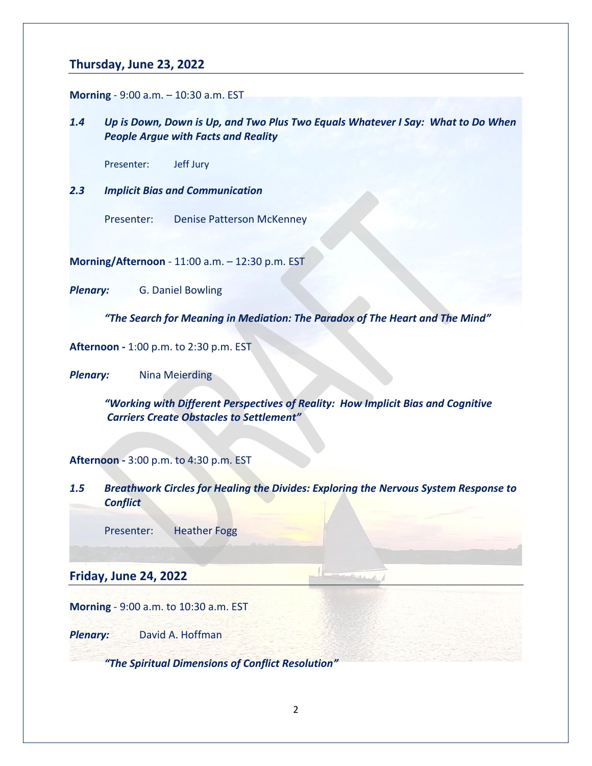#### **Thursday, June 23, 2022**

**Morning** - 9:00 a.m. – 10:30 a.m. EST

*1.4 Up is Down, Down is Up, and Two Plus Two Equals Whatever I Say: What to Do When People Argue with Facts and Reality*

Presenter: Jeff Jury

- *2.3 Implicit Bias and Communication*
	- Presenter: Denise Patterson McKenney

**Morning/Afternoon** - 11:00 a.m. – 12:30 p.m. EST

*Plenary:* G. Daniel Bowling

*"The Search for Meaning in Mediation: The Paradox of The Heart and The Mind"*

**Afternoon -** 1:00 p.m. to 2:30 p.m. EST

**Plenary:** Nina Meierding

*"Working with Different Perspectives of Reality: How Implicit Bias and Cognitive Carriers Create Obstacles to Settlement"*

#### **Afternoon -** 3:00 p.m. to 4:30 p.m. EST

*1.5 Breathwork Circles for Healing the Divides: Exploring the Nervous System Response to Conflict*

Presenter: Heather Fogg

**Friday, June 24, 2022**

**Morning** - 9:00 a.m. to 10:30 a.m. EST

*Plenary:* David A. Hoffman

*"The Spiritual Dimensions of Conflict Resolution"*